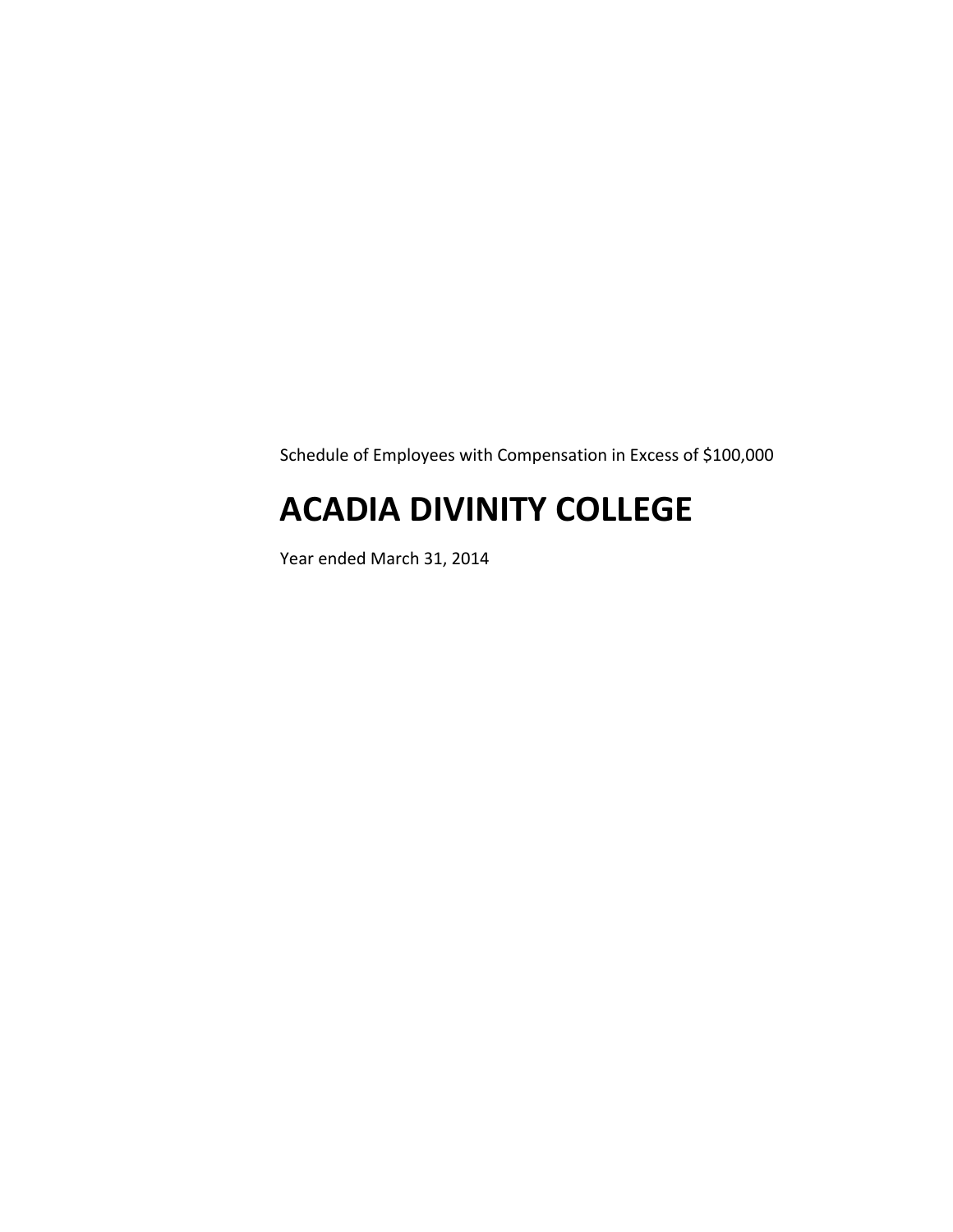Schedule of Employees with Compensation in Excess of \$100,000

# **ACADIA DIVINITY COLLEGE**

Year ended March 31, 2014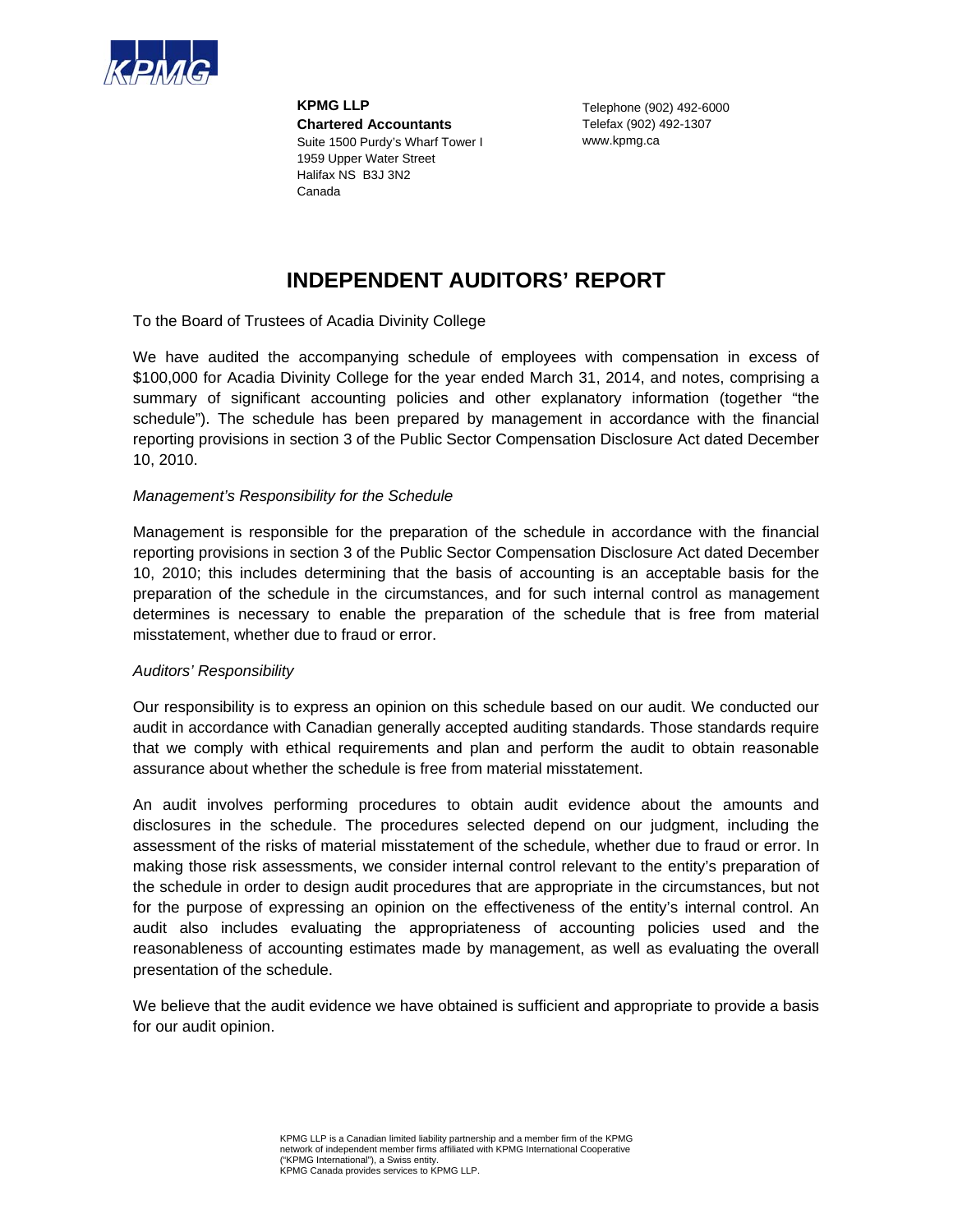

**KPMG LLP Chartered Accountants**  Suite 1500 Purdy's Wharf Tower I 1959 Upper Water Street Halifax NS B3J 3N2 Canada

Telephone (902) 492-6000 Telefax (902) 492-1307 www.kpmg.ca

## **INDEPENDENT AUDITORS' REPORT**

To the Board of Trustees of Acadia Divinity College

We have audited the accompanying schedule of employees with compensation in excess of \$100,000 for Acadia Divinity College for the year ended March 31, 2014, and notes, comprising a summary of significant accounting policies and other explanatory information (together "the schedule"). The schedule has been prepared by management in accordance with the financial reporting provisions in section 3 of the Public Sector Compensation Disclosure Act dated December 10, 2010.

### *Management's Responsibility for the Schedule*

Management is responsible for the preparation of the schedule in accordance with the financial reporting provisions in section 3 of the Public Sector Compensation Disclosure Act dated December 10, 2010; this includes determining that the basis of accounting is an acceptable basis for the preparation of the schedule in the circumstances, and for such internal control as management determines is necessary to enable the preparation of the schedule that is free from material misstatement, whether due to fraud or error.

### *Auditors' Responsibility*

Our responsibility is to express an opinion on this schedule based on our audit. We conducted our audit in accordance with Canadian generally accepted auditing standards. Those standards require that we comply with ethical requirements and plan and perform the audit to obtain reasonable assurance about whether the schedule is free from material misstatement.

An audit involves performing procedures to obtain audit evidence about the amounts and disclosures in the schedule. The procedures selected depend on our judgment, including the assessment of the risks of material misstatement of the schedule, whether due to fraud or error. In making those risk assessments, we consider internal control relevant to the entity's preparation of the schedule in order to design audit procedures that are appropriate in the circumstances, but not for the purpose of expressing an opinion on the effectiveness of the entity's internal control. An audit also includes evaluating the appropriateness of accounting policies used and the reasonableness of accounting estimates made by management, as well as evaluating the overall presentation of the schedule.

We believe that the audit evidence we have obtained is sufficient and appropriate to provide a basis for our audit opinion.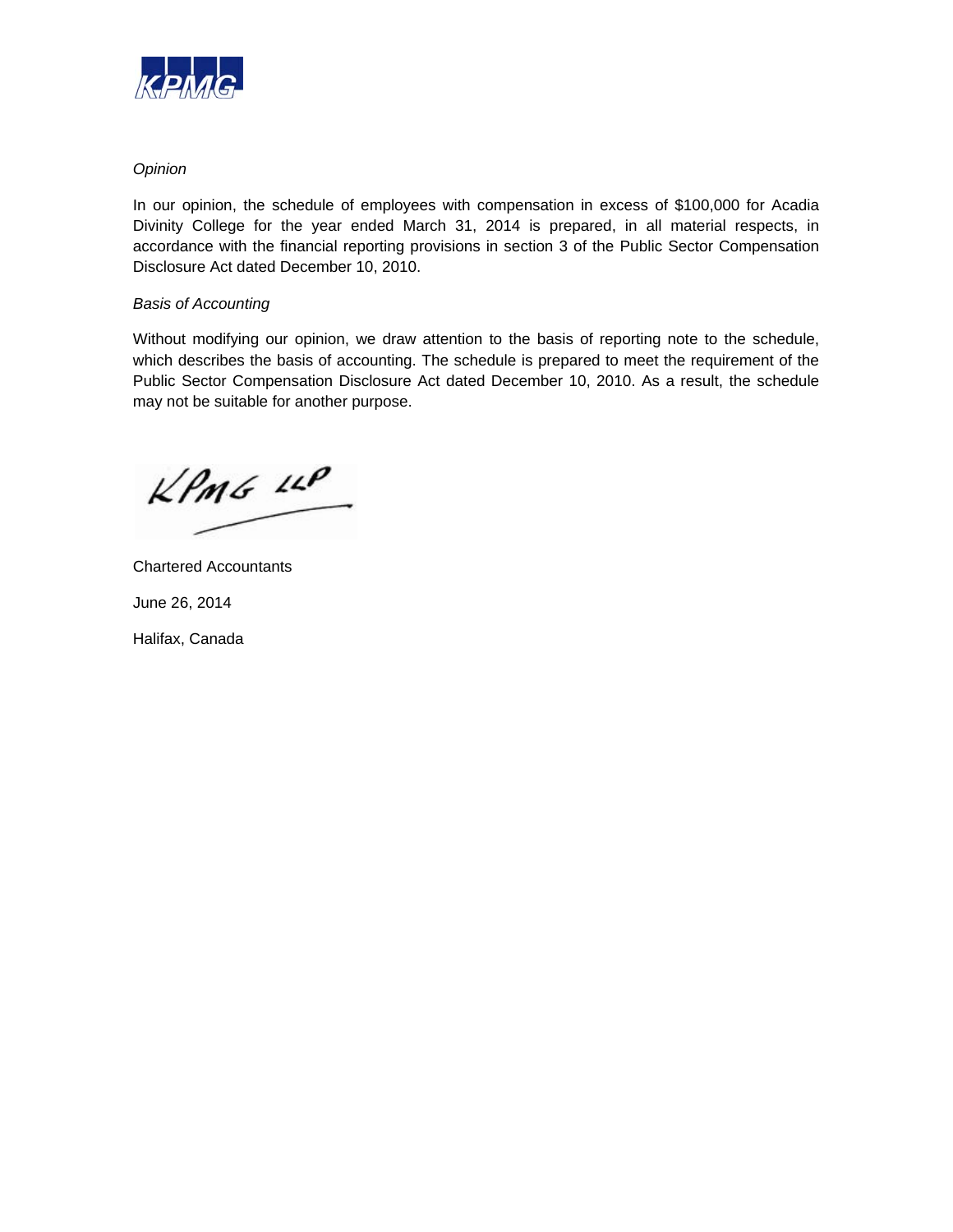

### *Opinion*

In our opinion, the schedule of employees with compensation in excess of \$100,000 for Acadia Divinity College for the year ended March 31, 2014 is prepared, in all material respects, in accordance with the financial reporting provisions in section 3 of the Public Sector Compensation Disclosure Act dated December 10, 2010.

### *Basis of Accounting*

Without modifying our opinion, we draw attention to the basis of reporting note to the schedule, which describes the basis of accounting. The schedule is prepared to meet the requirement of the Public Sector Compensation Disclosure Act dated December 10, 2010. As a result, the schedule may not be suitable for another purpose.

 $KPMG$  14P

Chartered Accountants June 26, 2014 Halifax, Canada